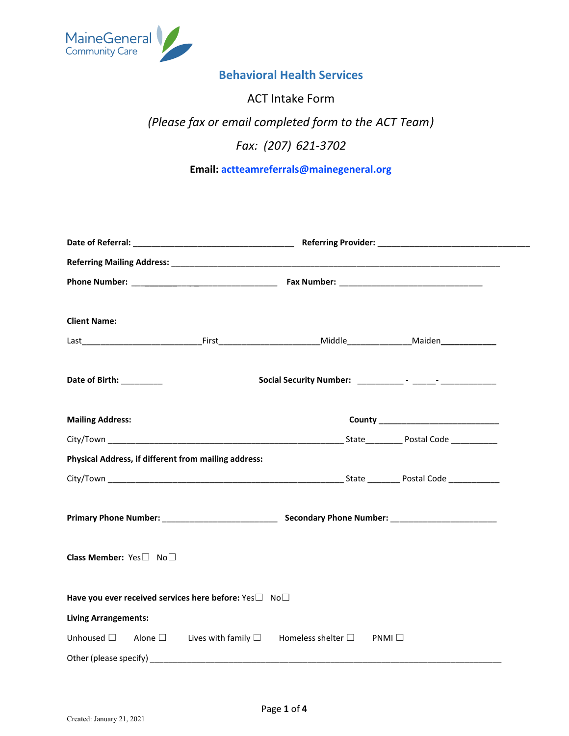

## **Behavioral Health Services**

# ACT Intake Form *(Please fax or email completed form to the ACT ) Team Fax: (207) 621-3702*

# **Email: actteamreferrals@mainegeneral.org**

| <b>Client Name:</b>                                                                                      |  |
|----------------------------------------------------------------------------------------------------------|--|
|                                                                                                          |  |
| Date of Birth: _________                                                                                 |  |
| <b>Mailing Address:</b>                                                                                  |  |
|                                                                                                          |  |
| Physical Address, if different from mailing address:                                                     |  |
|                                                                                                          |  |
|                                                                                                          |  |
| Class Member: Yes□ No□                                                                                   |  |
| Have you ever received services here before: Yes <sup>1</sup> No <sup>1</sup>                            |  |
| <b>Living Arrangements:</b>                                                                              |  |
| Unhoused $\square$ Alone $\square$ Lives with family $\square$ Homeless shelter $\square$ PNMI $\square$ |  |
|                                                                                                          |  |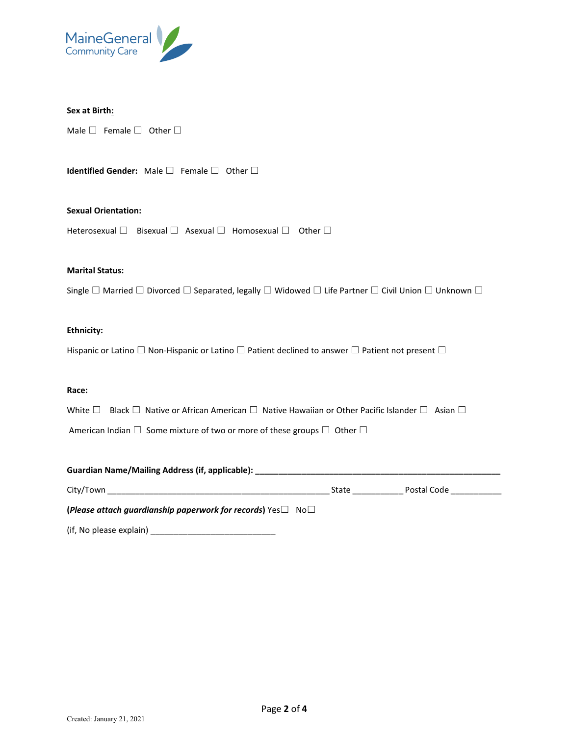

#### **Sex at Birth:**

Male  $□$  Female  $□$  Other  $□$ 

**Identified Gender:** Male □ Female □ Other □

#### **Sexual Orientation:**

Heterosexual □ Bisexual □ Asexual □ Homosexual □ Other □

#### **Marital Status:**

Single □ Married □ Divorced □ Separated, legally □ Widowed □ Life Partner □ Civil Union □ Unknown □

#### **Ethnicity:**

Hispanic or Latino  $□$  Non-Hispanic or Latino  $□$  Patient declined to answer  $□$  Patient not present  $□$ 

#### **Race:**

White □ Black □ Native or African American □ Native Hawaiian or Other Pacific Islander □ Asian □

American Indian  $\square$  Some mixture of two or more of these groups  $\square$  Other  $\square$ 

| Guardian Name/Mailing Address (if, applicable):                                     |       |             |  |  |  |
|-------------------------------------------------------------------------------------|-------|-------------|--|--|--|
| City/Town                                                                           | State | Postal Code |  |  |  |
| (Please attach quardianship paperwork for records) $\text{Yes} \Box \text{No} \Box$ |       |             |  |  |  |

(if, No please explain) \_\_\_\_\_\_\_\_\_\_\_\_\_\_\_\_\_\_\_\_\_\_\_\_\_\_\_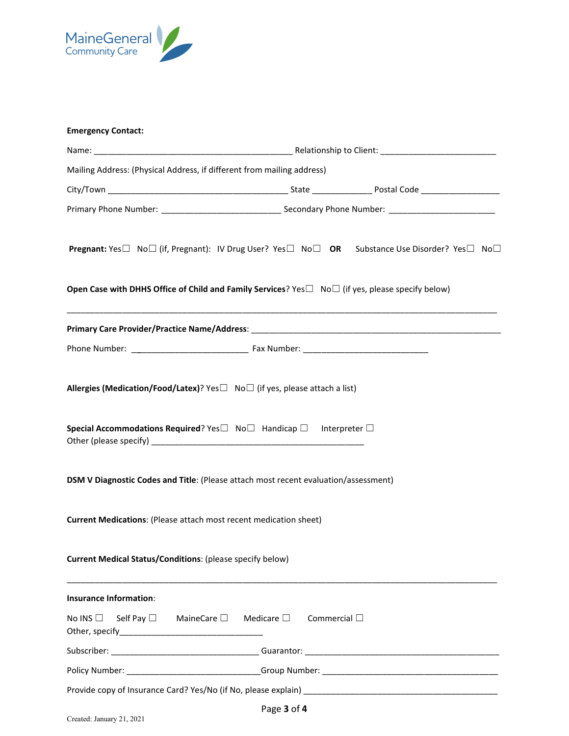

| <b>Emergency Contact:</b>                                                |                                                                                                                                                                   |
|--------------------------------------------------------------------------|-------------------------------------------------------------------------------------------------------------------------------------------------------------------|
|                                                                          |                                                                                                                                                                   |
| Mailing Address: (Physical Address, if different from mailing address)   |                                                                                                                                                                   |
|                                                                          |                                                                                                                                                                   |
|                                                                          |                                                                                                                                                                   |
|                                                                          | <b>Pregnant:</b> Yes $\square$ No $\square$ (if, Pregnant): IV Drug User? Yes $\square$ No $\square$ <b>OR</b> Substance Use Disorder? Yes $\square$ No $\square$ |
|                                                                          | Open Case with DHHS Office of Child and Family Services? Yes $\square$ No $\square$ (if yes, please specify below)                                                |
|                                                                          |                                                                                                                                                                   |
|                                                                          |                                                                                                                                                                   |
|                                                                          | Allergies (Medication/Food/Latex)? Yes□ No□ (if yes, please attach a list)                                                                                        |
|                                                                          | Special Accommodations Required? Yes $\square$ No $\square$ Handicap $\square$ Interpreter $\square$                                                              |
|                                                                          | DSM V Diagnostic Codes and Title: (Please attach most recent evaluation/assessment)                                                                               |
| <b>Current Medications: (Please attach most recent medication sheet)</b> |                                                                                                                                                                   |
| <b>Current Medical Status/Conditions: (please specify below)</b>         |                                                                                                                                                                   |
| <b>Insurance Information:</b>                                            |                                                                                                                                                                   |
| No INS $\Box$ Self Pay $\Box$ MaineCare $\Box$ Medicare $\Box$           | Commercial $\square$                                                                                                                                              |
|                                                                          |                                                                                                                                                                   |
|                                                                          |                                                                                                                                                                   |
|                                                                          |                                                                                                                                                                   |